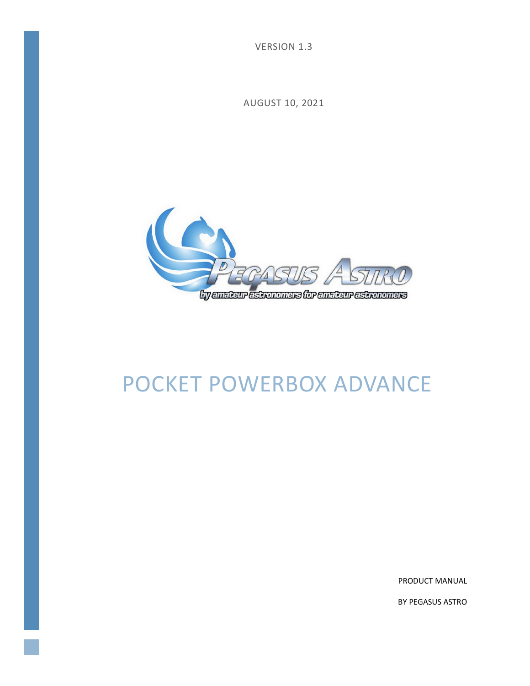VERSION 1.3

AUGUST 10, 2021



# POCKET POWERBOX ADVANCE

PRODUCT MANUAL

BY PEGASUS ASTRO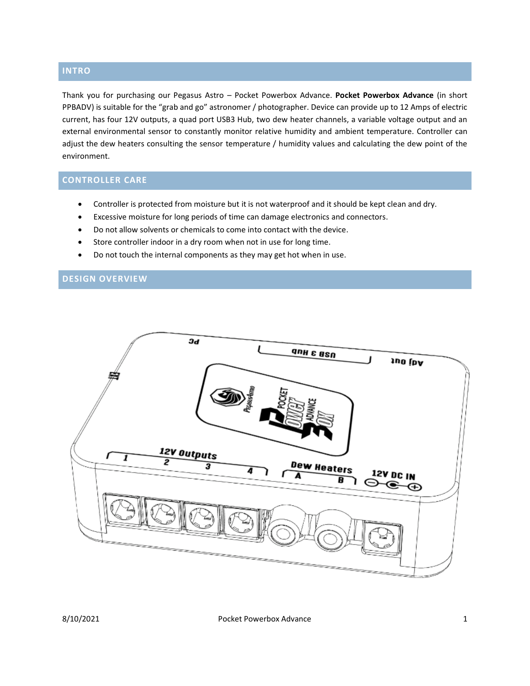### **INTRO**

Thank you for purchasing our Pegasus Astro – Pocket Powerbox Advance. **Pocket Powerbox Advance** (in short PPBADV) is suitable for the "grab and go" astronomer / photographer. Device can provide up to 12 Amps of electric current, has four 12V outputs, a quad port USB3 Hub, two dew heater channels, a variable voltage output and an external environmental sensor to constantly monitor relative humidity and ambient temperature. Controller can adjust the dew heaters consulting the sensor temperature / humidity values and calculating the dew point of the environment.

# **CONTROLLER CARE**

- Controller is protected from moisture but it is not waterproof and it should be kept clean and dry.
- Excessive moisture for long periods of time can damage electronics and connectors.
- Do not allow solvents or chemicals to come into contact with the device.
- Store controller indoor in a dry room when not in use for long time.
- Do not touch the internal components as they may get hot when in use.

#### **DESIGN OVERVIEW**

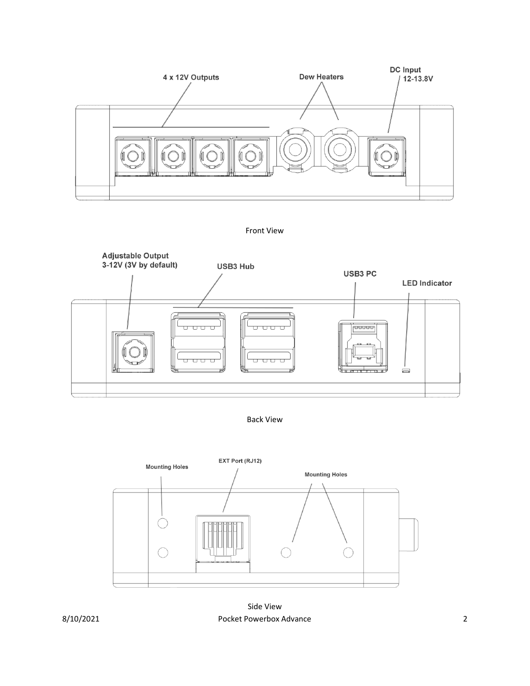







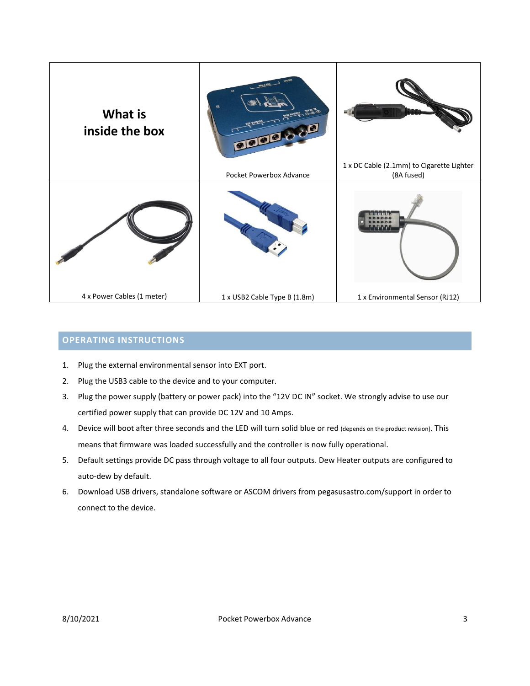

# **OPERATING INSTRUCTIONS**

- 1. Plug the external environmental sensor into EXT port.
- 2. Plug the USB3 cable to the device and to your computer.
- 3. Plug the power supply (battery or power pack) into the "12V DC IN" socket. We strongly advise to use our certified power supply that can provide DC 12V and 10 Amps.
- 4. Device will boot after three seconds and the LED will turn solid blue or red (depends on the product revision). This means that firmware was loaded successfully and the controller is now fully operational.
- 5. Default settings provide DC pass through voltage to all four outputs. Dew Heater outputs are configured to auto-dew by default.
- 6. Download USB drivers, standalone software or ASCOM drivers from [pegasusastro.com/support](http://pegasusastro.com/support) in order to connect to the device.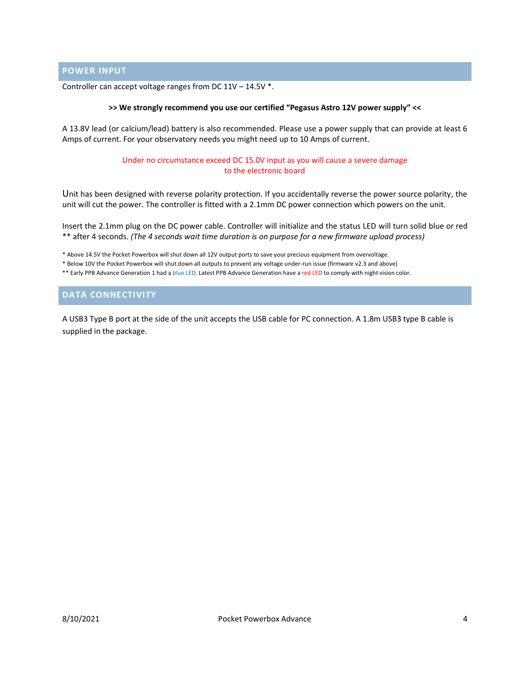**POWER INPUT**

Controller can accept voltage ranges from DC 11V – 14.5V \*.

#### **>> We strongly recommend you use our certified "Pegasus Astro 12V power supply" <<**

A 13.8V lead (or calcium/lead) battery is also recommended. Please use a power supply that can provide at least 6 Amps of current. For your observatory needs you might need up to 10 Amps of current.

> Under no circumstance exceed DC 15.0V input as you will cause a severe damage to the electronic board

Unit has been designed with reverse polarity protection. If you accidentally reverse the power source polarity, the unit will cut the power. The controller is fitted with a 2.1mm DC power connection which powers on the unit.

Insert the 2.1mm plug on the DC power cable. Controller will initialize and the status LED will turn solid blue or red \*\* after 4 seconds. *(The 4 seconds wait time duration is on purpose for a new firmware upload process)*

\* Above 14.5V the Pocket Powerbox will shut down all 12V output ports to save your precious equipment from overvoltage.

\* Below 10V the Pocket Powerbox will shut down all outputs to prevent any voltage under-run issue (firmware v2.3 and above)

\*\* Early PPB Advance Generation 1 had a blue LED, Latest PPB Advance Generation have a red LED to comply with night vision color.

#### **DATA CONNECTIVITY**

A USB3 Type B port at the side of the unit accepts the USB cable for PC connection. A 1.8m USB3 type B cable is supplied in the package.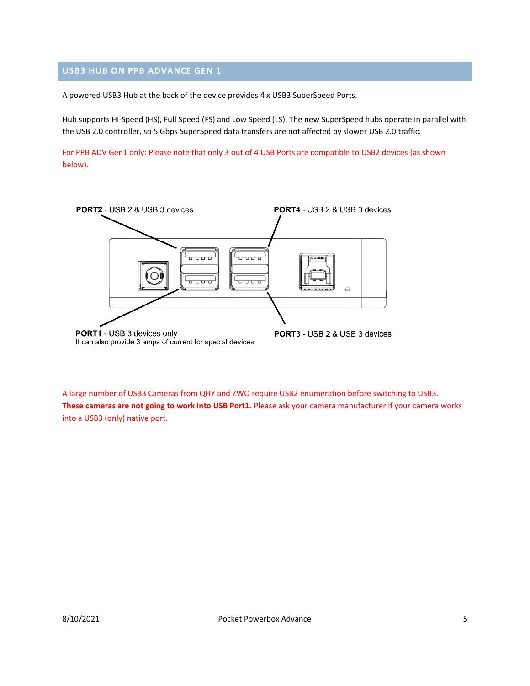# **USB3 HUB ON PPB ADVANCE GEN 1**

A powered USB3 Hub at the back of the device provides 4 x USB3 SuperSpeed Ports.

Hub supports Hi-Speed (HS), Full Speed (FS) and Low Speed (LS). The new SuperSpeed hubs operate in parallel with the USB 2.0 controller, so 5 Gbps SuperSpeed data transfers are not affected by slower USB 2.0 traffic.

For PPB ADV Gen1 only: Please note that only 3 out of 4 USB Ports are compatible to USB2 devices (as shown below).



A large number of USB3 Cameras from QHY and ZWO require USB2 enumeration before switching to USB3. **These cameras are not going to work into USB Port1.** Please ask your camera manufacturer if your camera works into a USB3 (only) native port.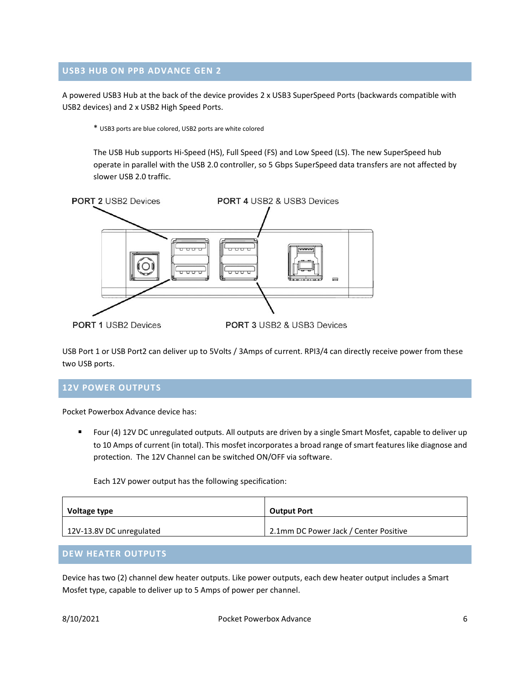#### **USB3 HUB ON PPB ADVANCE GEN 2**

A powered USB3 Hub at the back of the device provides 2 x USB3 SuperSpeed Ports (backwards compatible with USB2 devices) and 2 x USB2 High Speed Ports.

\* USB3 ports are blue colored, USB2 ports are white colored

The USB Hub supports Hi-Speed (HS), Full Speed (FS) and Low Speed (LS). The new SuperSpeed hub operate in parallel with the USB 2.0 controller, so 5 Gbps SuperSpeed data transfers are not affected by slower USB 2.0 traffic.



USB Port 1 or USB Port2 can deliver up to 5Volts / 3Amps of current. RPI3/4 can directly receive power from these two USB ports.

#### **12V POWER OUTPUTS**

Pocket Powerbox Advance device has:

Four (4) 12V DC unregulated outputs. All outputs are driven by a single Smart Mosfet, capable to deliver up to 10 Amps of current (in total). This mosfet incorporates a broad range of smart features like diagnose and protection. The 12V Channel can be switched ON/OFF via software.

Each 12V power output has the following specification:

| Voltage type             | <b>Output Port</b>                    |
|--------------------------|---------------------------------------|
| 12V-13.8V DC unregulated | 2.1mm DC Power Jack / Center Positive |

# **DEW HEATER OUTPUTS**

Device has two (2) channel dew heater outputs. Like power outputs, each dew heater output includes a Smart Mosfet type, capable to deliver up to 5 Amps of power per channel.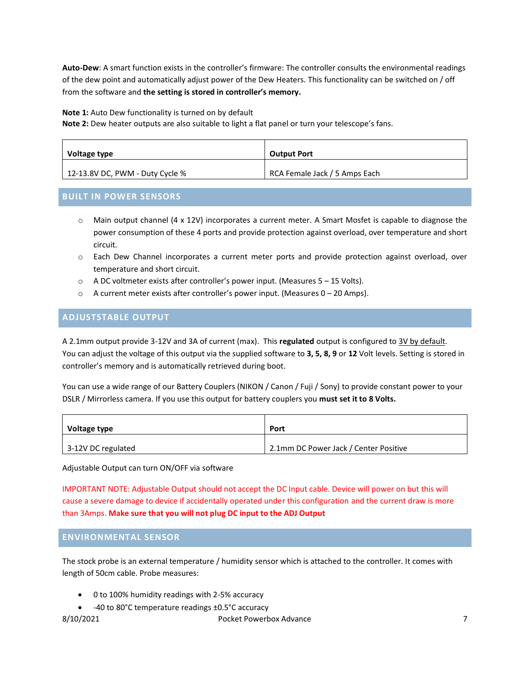**Auto-Dew**: A smart function exists in the controller's firmware: The controller consults the environmental readings of the dew point and automatically adjust power of the Dew Heaters. This functionality can be switched on / off from the software and **the setting is stored in controller's memory.**

**Note 1:** Auto Dew functionality is turned on by default

**Note 2:** Dew heater outputs are also suitable to light a flat panel or turn your telescope's fans.

| Voltage type                    | <b>Output Port</b>            |
|---------------------------------|-------------------------------|
| 12-13.8V DC, PWM - Duty Cycle % | RCA Female Jack / 5 Amps Each |

#### **BUILT IN POWER SENSORS**

- $\circ$  Main output channel (4 x 12V) incorporates a current meter. A Smart Mosfet is capable to diagnose the power consumption of these 4 ports and provide protection against overload, over temperature and short circuit.
- o Each Dew Channel incorporates a current meter ports and provide protection against overload, over temperature and short circuit.
- o A DC voltmeter exists after controller's power input. (Measures 5 15 Volts).
- $\circ$  A current meter exists after controller's power input. (Measures  $0 20$  Amps).

# **ADJUSTSTABLE OUTPUT**

A 2.1mm output provide 3-12V and 3A of current (max). This **regulated** output is configured to 3V by default. You can adjust the voltage of this output via the supplied software to **3, 5, 8, 9** or **12** Volt levels. Setting is stored in controller's memory and is automatically retrieved during boot.

You can use a wide range of our Battery Couplers (NIKON / Canon / Fuji / Sony) to provide constant power to your DSLR / Mirrorless camera. If you use this output for battery couplers you **must set it to 8 Volts.**

| Voltage type       | Port                                  |
|--------------------|---------------------------------------|
| 3-12V DC regulated | 2.1mm DC Power Jack / Center Positive |

Adjustable Output can turn ON/OFF via software

IMPORTANT NOTE: Adjustable Output should not accept the DC Input cable. Device will power on but this will cause a severe damage to device if accidentally operated under this configuration and the current draw is more than 3Amps. **Make sure that you will not plug DC input to the ADJ Output**

#### **ENVIRONMENTAL SENSOR**

The stock probe is an external temperature / humidity sensor which is attached to the controller. It comes with length of 50cm cable. Probe measures:

- 0 to 100% humidity readings with 2-5% accuracy
- -40 to 80°C temperature readings ±0.5°C accuracy

8/10/2021 Pocket Powerbox Advance 7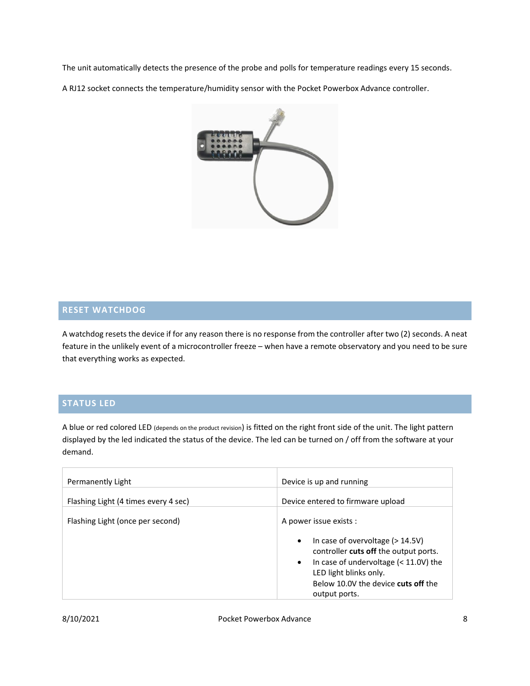The unit automatically detects the presence of the probe and polls for temperature readings every 15 seconds.

A RJ12 socket connects the temperature/humidity sensor with the Pocket Powerbox Advance controller.



# **RESET WATCHDOG**

A watchdog resets the device if for any reason there is no response from the controller after two (2) seconds. A neat feature in the unlikely event of a microcontroller freeze – when have a remote observatory and you need to be sure that everything works as expected.

# **STATUS LED**

A blue or red colored LED (depends on the product revision) is fitted on the right front side of the unit. The light pattern displayed by the led indicated the status of the device. The led can be turned on / off from the software at your demand.

| Permanently Light                    | Device is up and running                                                                                                                                                                                                                                    |
|--------------------------------------|-------------------------------------------------------------------------------------------------------------------------------------------------------------------------------------------------------------------------------------------------------------|
| Flashing Light (4 times every 4 sec) | Device entered to firmware upload                                                                                                                                                                                                                           |
| Flashing Light (once per second)     | A power issue exists :<br>In case of overvoltage $(>14.5V)$<br>$\bullet$<br>controller cuts off the output ports.<br>In case of undervoltage $(< 11.0V)$ the<br>$\bullet$<br>LED light blinks only.<br>Below 10.0V the device cuts off the<br>output ports. |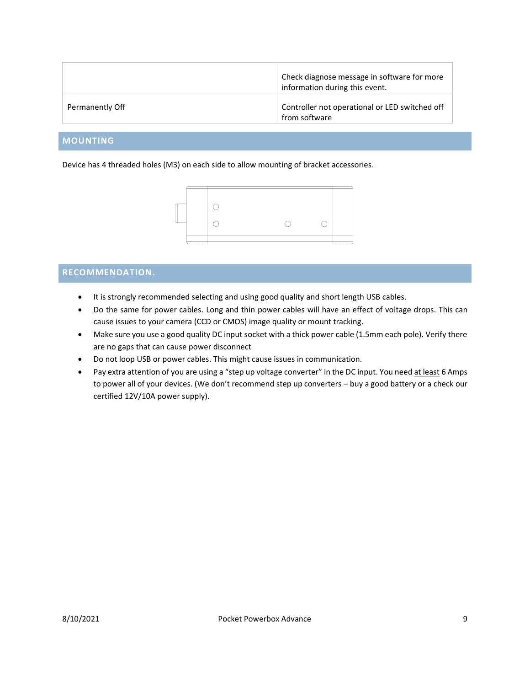|                 | Check diagnose message in software for more<br>information during this event. |
|-----------------|-------------------------------------------------------------------------------|
| Permanently Off | Controller not operational or LED switched off<br>from software               |

# **MOUNTING**

Device has 4 threaded holes (M3) on each side to allow mounting of bracket accessories.



# **RECOMMENDATION.**

- It is strongly recommended selecting and using good quality and short length USB cables.
- Do the same for power cables. Long and thin power cables will have an effect of voltage drops. This can cause issues to your camera (CCD or CMOS) image quality or mount tracking.
- Make sure you use a good quality DC input socket with a thick power cable (1.5mm each pole). Verify there are no gaps that can cause power disconnect
- Do not loop USB or power cables. This might cause issues in communication.
- Pay extra attention of you are using a "step up voltage converter" in the DC input. You need at least 6 Amps to power all of your devices. (We don't recommend step up converters – buy a good battery or a check our certified 12V/10A power supply).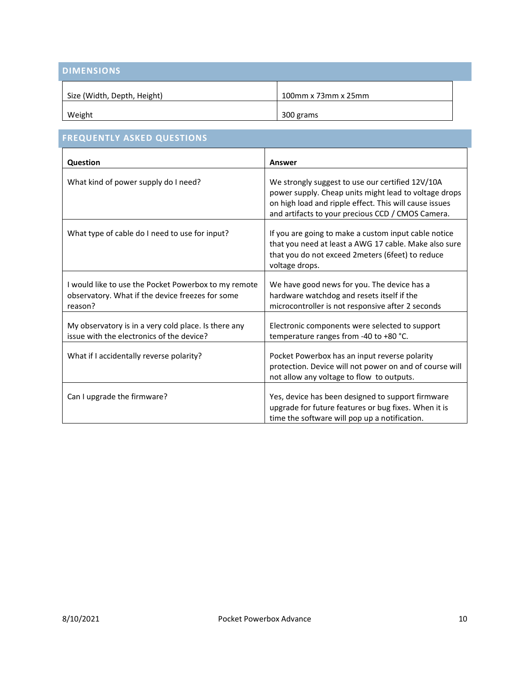| <b>DIMENSIONS</b>           |                     |
|-----------------------------|---------------------|
| Size (Width, Depth, Height) | 100mm x 73mm x 25mm |
| Weight                      | 300 grams           |

| <b>FREQUENTLY ASKED QUESTIONS</b>                                                                                   |                                                                                                                                                                                                                          |
|---------------------------------------------------------------------------------------------------------------------|--------------------------------------------------------------------------------------------------------------------------------------------------------------------------------------------------------------------------|
| Question                                                                                                            | Answer                                                                                                                                                                                                                   |
| What kind of power supply do I need?                                                                                | We strongly suggest to use our certified 12V/10A<br>power supply. Cheap units might lead to voltage drops<br>on high load and ripple effect. This will cause issues<br>and artifacts to your precious CCD / CMOS Camera. |
| What type of cable do I need to use for input?                                                                      | If you are going to make a custom input cable notice<br>that you need at least a AWG 17 cable. Make also sure<br>that you do not exceed 2meters (6feet) to reduce<br>voltage drops.                                      |
| I would like to use the Pocket Powerbox to my remote<br>observatory. What if the device freezes for some<br>reason? | We have good news for you. The device has a<br>hardware watchdog and resets itself if the<br>microcontroller is not responsive after 2 seconds                                                                           |
| My observatory is in a very cold place. Is there any<br>issue with the electronics of the device?                   | Electronic components were selected to support<br>temperature ranges from -40 to +80 °C.                                                                                                                                 |
| What if I accidentally reverse polarity?                                                                            | Pocket Powerbox has an input reverse polarity<br>protection. Device will not power on and of course will<br>not allow any voltage to flow to outputs.                                                                    |
| Can I upgrade the firmware?                                                                                         | Yes, device has been designed to support firmware<br>upgrade for future features or bug fixes. When it is<br>time the software will pop up a notification.                                                               |